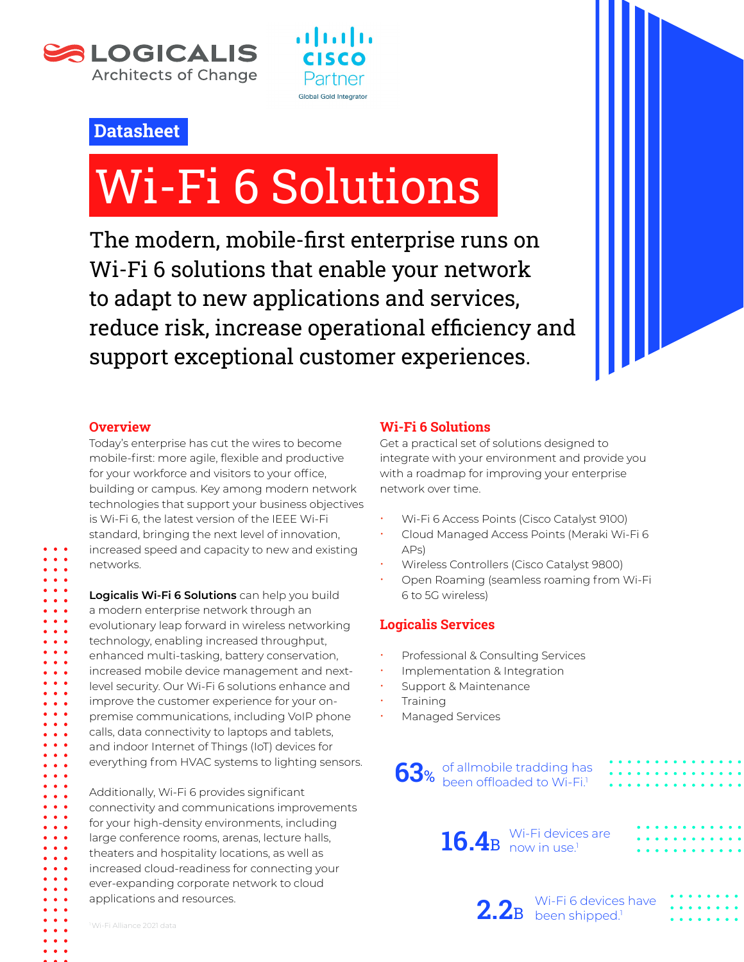



## **Datasheet**

# Wi-Fi 6 Solutions

The modern, mobile-first enterprise runs on Wi-Fi 6 solutions that enable your network to adapt to new applications and services, reduce risk, increase operational efficiency and support exceptional customer experiences.

#### **Overview**

networks.

 $\bullet$   $\bullet$   $\bullet$  $\ddot{\bullet}$   $\ddot{\bullet}$   $\ddot{\bullet}$  $\bullet$   $\bullet$   $\bullet$ . . .  $\bullet\bullet\bullet$  $\bullet\bullet\bullet$ 

 $\ddot{\phantom{a}}$  $\bullet$   $\bullet$ 

Today's enterprise has cut the wires to become mobile-first: more agile, flexible and productive for your workforce and visitors to your office, building or campus. Key among modern network technologies that support your business objectives is Wi-Fi 6, the latest version of the IEEE Wi-Fi standard, bringing the next level of innovation, increased speed and capacity to new and existing

**Logicalis Wi-Fi 6 Solutions** can help you build a modern enterprise network through an evolutionary leap forward in wireless networking technology, enabling increased throughput, enhanced multi-tasking, battery conservation, increased mobile device management and nextlevel security. Our Wi-Fi 6 solutions enhance and improve the customer experience for your onpremise communications, including VoIP phone calls, data connectivity to laptops and tablets, and indoor Internet of Things (IoT) devices for everything from HVAC systems to lighting sensors.

Additionally, Wi-Fi 6 provides significant connectivity and communications improvements for your high-density environments, including large conference rooms, arenas, lecture halls, theaters and hospitality locations, as well as increased cloud-readiness for connecting your ever-expanding corporate network to cloud applications and resources.

#### **Wi-Fi 6 Solutions**

Get a practical set of solutions designed to integrate with your environment and provide you with a roadmap for improving your enterprise network over time.

- x Wi-Fi 6 Access Points (Cisco Catalyst 9100)
- x Cloud Managed Access Points (Meraki Wi-Fi 6 APs)
- x Wireless Controllers (Cisco Catalyst 9800)
- Open Roaming (seamless roaming from Wi-Fi 6 to 5G wireless)

### **Logicalis Services**

- Professional & Consulting Services
- Implementation & Integration
- Support & Maintenance
- **Training**
- Managed Services

**63**% of allmobile tradding has been offloaded to Wi-Fi.<sup>1</sup>



2.2<sup>B</sup> been shipped.<sup>1</sup>

Wi-Fi 6 devices have